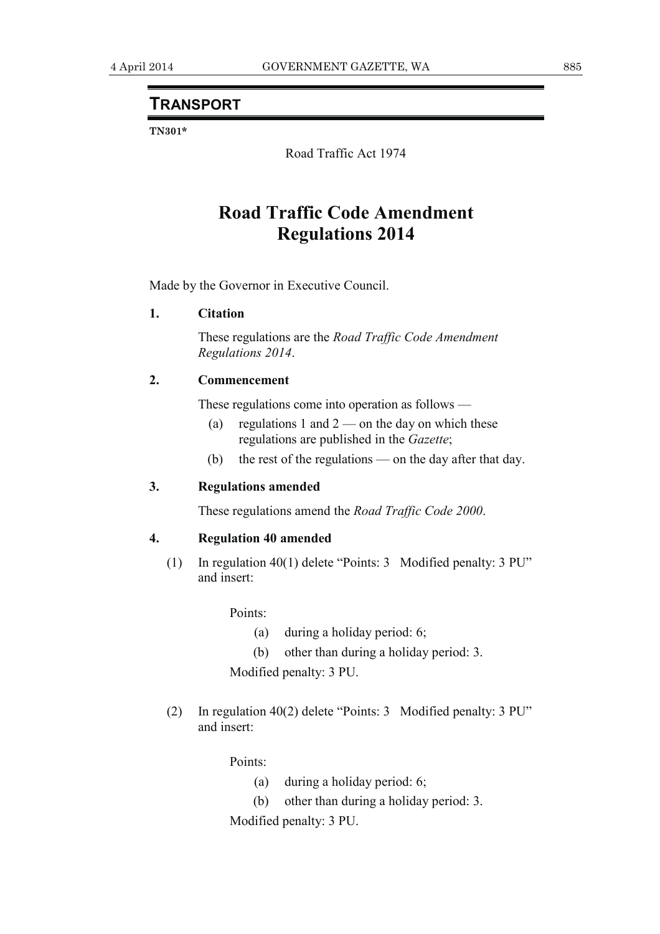## **TRANSPORT**

**TN301\*** 

Road Traffic Act 1974

# **Road Traffic Code Amendment Regulations 2014**

Made by the Governor in Executive Council.

### **1. Citation**

 These regulations are the *Road Traffic Code Amendment Regulations 2014*.

#### **2. Commencement**

These regulations come into operation as follows —

- (a) regulations 1 and  $2$  on the day on which these regulations are published in the *Gazette*;
- (b) the rest of the regulations on the day after that day.

#### **3. Regulations amended**

These regulations amend the *Road Traffic Code 2000*.

#### **4. Regulation 40 amended**

 (1) In regulation 40(1) delete "Points: 3 Modified penalty: 3 PU" and insert:

Points:

- (a) during a holiday period: 6;
- (b) other than during a holiday period: 3.

Modified penalty: 3 PU.

 (2) In regulation 40(2) delete "Points: 3 Modified penalty: 3 PU" and insert:

Points:

- (a) during a holiday period: 6;
- (b) other than during a holiday period: 3.

Modified penalty: 3 PU.